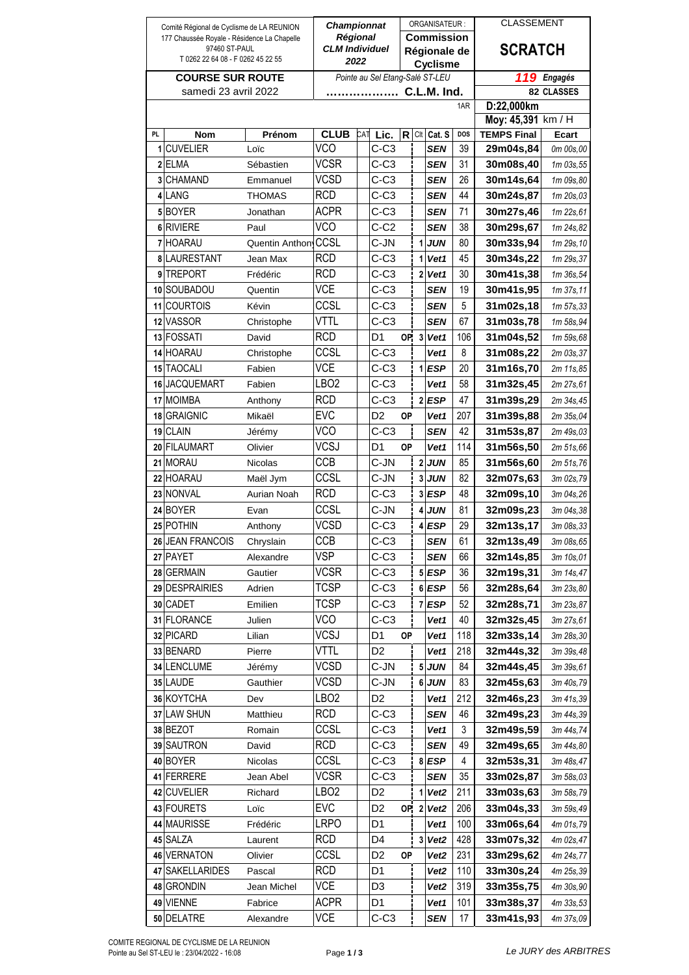| Comité Régional de Cyclisme de LA REUNION   |                              | <b>Championnat</b>  |                                 |     |                |           | ORGANISATEUR: |                      | <b>CLASSEMENT</b>                |                    |              |
|---------------------------------------------|------------------------------|---------------------|---------------------------------|-----|----------------|-----------|---------------|----------------------|----------------------------------|--------------------|--------------|
| 177 Chaussée Royale - Résidence La Chapelle |                              |                     | <b>Régional</b>                 |     |                |           |               | Commission           |                                  |                    |              |
| 97460 ST-PAUL                               |                              |                     | <b>CLM Individuel</b>           |     |                |           |               | Régionale de         |                                  | <b>SCRATCH</b>     |              |
| T 0262 22 64 08 - F 0262 45 22 55           |                              |                     | 2022<br><b>Cyclisme</b>         |     |                |           |               |                      |                                  |                    |              |
| <b>COURSE SUR ROUTE</b>                     |                              |                     | Pointe au Sel Etang-Salé ST-LEU |     |                |           |               |                      |                                  | 119<br>Engagés     |              |
|                                             | samedi 23 avril 2022         | C.L.M. Ind.         |                                 |     |                |           |               |                      |                                  | 82 CLASSES         |              |
|                                             |                              |                     |                                 |     |                |           |               | 1AR                  | D:22,000km<br>Moy: 45,391 km / H |                    |              |
| PL                                          | <b>Nom</b>                   | Prénom              | <b>CLUB</b>                     | CAT | Lic.           | R         |               | Clt Cat. S           | <b>DOS</b>                       | <b>TEMPS Final</b> | Ecart        |
| $\mathbf{1}$                                | <b>CUVELIER</b>              | Loïc                | VCO                             |     | $C-C3$         |           |               | <b>SEN</b>           | 39                               | 29m04s,84          | 0m 00s.00    |
|                                             | 2 ELMA                       | Sébastien           | <b>VCSR</b>                     |     | $C-C3$         |           |               | <b>SEN</b>           | 31                               | 30m08s,40          | 1m 03s, 55   |
|                                             | 3 CHAMAND                    | Emmanuel            | <b>VCSD</b>                     |     | $C-C3$         |           |               | <b>SEN</b>           | 26                               | 30m14s,64          | 1m 09s,80    |
|                                             | 4 LANG                       | <b>THOMAS</b>       | <b>RCD</b>                      |     | $C-C3$         |           |               | <b>SEN</b>           | 44                               | 30m24s,87          | 1m 20s, 03   |
|                                             | 5 BOYER                      | Jonathan            | <b>ACPR</b>                     |     | $C-C3$         |           |               | <b>SEN</b>           | 71                               | 30m27s,46          | 1m 22s, 61   |
|                                             | 6 RIVIERE                    | Paul                | <b>VCO</b>                      |     | $C-C2$         |           |               | <b>SEN</b>           | 38                               | 30m29s,67          | 1m 24s, 82   |
|                                             | 7 HOARAU                     | Quentin Anthon CCSL |                                 |     | C-JN           |           | 1             | <b>JUN</b>           | 80                               | 30m33s,94          | 1m 29s, 10   |
| 8                                           | LAURESTANT                   | Jean Max            | <b>RCD</b>                      |     | $C-C3$         |           | 1             | Vet1                 | 45                               | 30m34s,22          | 1m 29s, 37   |
|                                             | 9 TREPORT                    | Frédéric            | <b>RCD</b>                      |     | $C-C3$         |           |               | $2$ Vet1             | 30                               | 30m41s,38          | 1m 36s, 54   |
|                                             | 10 SOUBADOU                  | Quentin             | <b>VCE</b>                      |     | $C-C3$         |           |               | SEN                  | 19                               | 30m41s,95          | $1m$ 37s, 11 |
| 11                                          | <b>COURTOIS</b>              | Kévin               | CCSL                            |     | $C-C3$         |           |               | SEN                  | 5                                | 31m02s,18          | $1m\,57s,33$ |
| 12                                          | <b>VASSOR</b>                | Christophe          | <b>VTTL</b>                     |     | $C-C3$         |           |               | SEN                  | 67                               | 31m03s,78          | 1m 58s,94    |
|                                             | 13 FOSSATI                   | David               | <b>RCD</b>                      |     | D <sub>1</sub> | OP.       |               | 3 Vet1               | 106                              | 31m04s,52          | 1m 59s,68    |
|                                             | 14 HOARAU                    | Christophe          | CCSL                            |     | $C-C3$         |           |               | Vet1                 | 8                                | 31m08s,22          | 2m 03s, 37   |
|                                             | 15 TAOCALI                   | Fabien              | <b>VCE</b>                      |     | $C-C3$         |           | 1             | <b>ESP</b>           | 20                               | 31m16s,70          | 2m 11s,85    |
| 16                                          | <b>JACQUEMART</b>            | Fabien              | LBO <sub>2</sub>                |     | $C-C3$         |           |               | Vet1                 | 58                               | 31m32s,45          | 2m 27s.61    |
| 17                                          | <b>MOIMBA</b>                |                     | <b>RCD</b>                      |     | $C-C3$         |           |               | $2$ ESP              | 47                               | 31m39s,29          |              |
|                                             | 18 GRAIGNIC                  | Anthony             | <b>EVC</b>                      |     | D <sub>2</sub> | <b>OP</b> |               |                      | 207                              |                    | 2m 34s,45    |
|                                             |                              | Mikaël              | <b>VCO</b>                      |     | $C-C3$         |           |               | Vet1                 | 42                               | 31m39s,88          | 2m 35s,04    |
|                                             | 19 CLAIN<br><b>FILAUMART</b> | Jérémy              | <b>VCSJ</b>                     |     |                |           |               | SEN                  | 114                              | 31m53s,87          | 2m 49s,03    |
| 20                                          |                              | Olivier             |                                 |     | D1             | <b>OP</b> |               | Vet1                 |                                  | 31m56s,50          | 2m 51s,66    |
|                                             | 21 MORAU                     | <b>Nicolas</b>      | CCB                             |     | C-JN           |           |               | $2$ JUN              | 85                               | 31m56s,60          | 2m 51s,76    |
| $22 \,$                                     | <b>HOARAU</b>                | Maël Jym            | CCSL                            |     | C-JN           |           |               | $3$ JUN              | 82                               | 32m07s,63          | 3m 02s.79    |
|                                             | 23 NONVAL                    | Aurian Noah         | <b>RCD</b>                      |     | $C-C3$         |           |               | 3 ESP                | 48                               | 32m09s,10          | 3m 04s, 26   |
| 24                                          | <b>BOYER</b>                 | Evan                | CCSL                            |     | C-JN           |           | 4             | JUN                  | 81                               | 32m09s,23          | 3m 04s.38    |
|                                             | 25 POTHIN                    | Anthony             | <b>VCSD</b>                     |     | $C-C3$         |           |               | 4 ESP                | 29                               | 32m13s,17          | 3m 08s, 33   |
|                                             | 26 JEAN FRANCOIS             | Chryslain           | CCB                             |     | $C-C3$         |           |               | <b>SEN</b>           | 61                               | 32m13s,49          | 3m 08s, 65   |
|                                             | 27 PAYET                     | Alexandre           | VSP                             |     | $C-C3$         |           |               | <b>SEN</b>           | 66                               | 32m14s,85          | 3m 10s,01    |
|                                             | 28 GERMAIN                   | Gautier             | <b>VCSR</b>                     |     | $C-C3$         |           |               | $5$ ESP              | 36                               | 32m19s,31          | 3m 14s, 47   |
|                                             | 29 DESPRAIRIES               | Adrien              | <b>TCSP</b>                     |     | $C-C3$         |           |               | 6 ESP                | 56                               | 32m28s,64          | 3m 23s,80    |
|                                             | 30 CADET                     | Emilien             | <b>TCSP</b>                     |     | $C-C3$         |           |               | $7$ ESP              | 52                               | 32m28s,71          | 3m 23s, 87   |
|                                             | 31 FLORANCE                  | Julien              | VCO                             |     | $C-C3$         |           |               | Vet1                 | 40                               | 32m32s,45          | 3m 27s, 61   |
|                                             | 32 PICARD                    | Lilian              | VCSJ                            |     | D1             | ОP        |               | Vet1                 | 118                              | 32m33s,14          | 3m 28s, 30   |
|                                             | 33 BENARD                    | Pierre              | VTTL                            |     | D <sub>2</sub> |           |               | Vet1                 | 218                              | 32m44s,32          | 3m 39s, 48   |
|                                             | 34 LENCLUME                  | Jérémy              | VCSD                            |     | C-JN           |           |               | 5 JUN                | 84                               | 32m44s,45          | 3m 39s, 61   |
|                                             | 35 LAUDE                     | Gauthier            | VCSD                            |     | C-JN           |           |               | 6 JUN                | 83                               | 32m45s,63          | 3m 40s, 79   |
|                                             | 36 KOYTCHA                   | Dev                 | LBO2                            |     | D <sub>2</sub> |           |               | Vet1                 | 212                              | 32m46s,23          | 3m 41s, 39   |
|                                             | 37 LAW SHUN                  | Matthieu            | RCD                             |     | $C-C3$         |           |               | <b>SEN</b>           | 46                               | 32m49s,23          | 3m 44s, 39   |
|                                             | 38 BEZOT                     | Romain              | CCSL                            |     | $C-C3$         |           |               | Vet1                 | 3                                | 32m49s,59          | 3m 44s, 74   |
|                                             | 39 SAUTRON                   | David               | <b>RCD</b>                      |     | $C-C3$         |           |               | <b>SEN</b>           | 49                               | 32m49s,65          | 3m 44s,80    |
|                                             | 40 BOYER                     | Nicolas             | CCSL                            |     | $C-C3$         |           |               | 8 ESP                | 4                                | 32m53s,31          | 3m 48s, 47   |
|                                             | 41 FERRERE                   | Jean Abel           | <b>VCSR</b>                     |     | $C-C3$         |           |               | <b>SEN</b>           | 35                               | 33m02s,87          | 3m 58s,03    |
|                                             | 42 CUVELIER                  | Richard             | LBO <sub>2</sub>                |     | D <sub>2</sub> |           | 1             | Vet <sub>2</sub>     | 211                              | 33m03s,63          | 3m 58s, 79   |
|                                             | 43 FOURETS                   | Loïc                | <b>EVC</b>                      |     | D <sub>2</sub> |           |               | OP $2$ Vet2          | 206                              | 33m04s,33          | 3m 59s, 49   |
|                                             | 44 MAURISSE                  | Frédéric            | LRPO                            |     | D1             |           |               | Vet1                 | 100                              | 33m06s,64          | 4m 01s,79    |
|                                             | 45 SALZA                     | Laurent             | <b>RCD</b>                      |     | D4             |           |               | $3$ Vet <sub>2</sub> | 428                              | 33m07s,32          | 4m 02s, 47   |
|                                             | 46 VERNATON                  | Olivier             | CCSL                            |     | D <sub>2</sub> | <b>OP</b> |               | Vet2                 | 231                              | 33m29s,62          | 4m 24s, 77   |
| 47                                          | <b>SAKELLARIDES</b>          | Pascal              | <b>RCD</b>                      |     | D1             |           |               | Vet <sub>2</sub>     | 110                              | 33m30s,24          | 4m 25s, 39   |
|                                             | 48 GRONDIN                   | Jean Michel         | VCE                             |     | D3             |           |               | Vet <sub>2</sub>     | 319                              | 33m35s,75          | 4m 30s,90    |
|                                             | 49 VIENNE                    | Fabrice             | <b>ACPR</b>                     |     | D1             |           |               | Vet1                 | 101                              | 33m38s,37          | 4m 33s, 53   |
|                                             | 50 DELATRE                   | Alexandre           | <b>VCE</b>                      |     | $C-C3$         |           |               | SEN                  | 17                               | 33m41s,93          | 4m 37s,09    |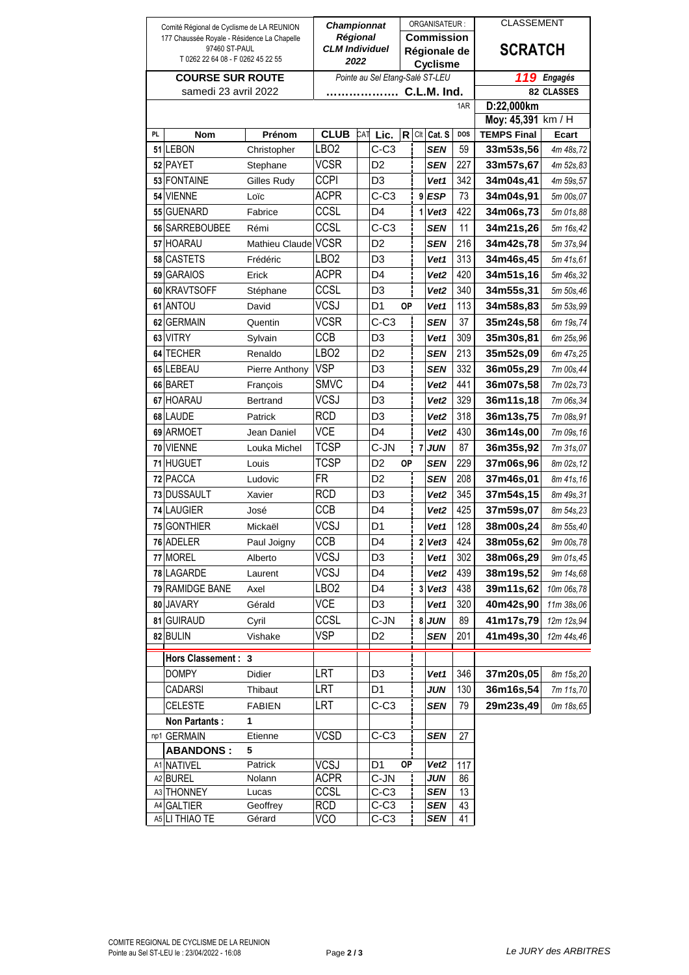| Comité Régional de Cyclisme de LA REUNION   |                          | <b>Championnat</b> |                                 |  |                  |           | ORGANISATEUR:  |                      | <b>CLASSEMENT</b>                |                    |             |
|---------------------------------------------|--------------------------|--------------------|---------------------------------|--|------------------|-----------|----------------|----------------------|----------------------------------|--------------------|-------------|
| 177 Chaussée Royale - Résidence La Chapelle |                          |                    | <b>Régional</b>                 |  |                  |           |                | <b>Commission</b>    |                                  |                    |             |
| 97460 ST-PAUL                               |                          |                    | <b>CLM Individuel</b>           |  |                  |           |                | Régionale de         |                                  | <b>SCRATCH</b>     |             |
| T 0262 22 64 08 - F 0262 45 22 55           |                          |                    | 2022<br><b>Cyclisme</b>         |  |                  |           |                |                      |                                  |                    |             |
| <b>COURSE SUR ROUTE</b>                     |                          |                    | Pointe au Sel Etang-Salé ST-LEU |  |                  |           |                |                      |                                  | 119                | Engagés     |
| samedi 23 avril 2022                        |                          |                    | C.L.M. Ind.                     |  |                  |           |                |                      |                                  | 82 CLASSES         |             |
|                                             |                          |                    |                                 |  |                  |           |                | 1AR                  | D:22,000km<br>Moy: 45,391 km / H |                    |             |
| PL.                                         | <b>Nom</b>               | Prénom             | <b>CLUB</b>                     |  | CAT Lic.         | R         |                | Clt Cat. S           | DOS                              | <b>TEMPS Final</b> | Ecart       |
|                                             | 51 LEBON                 | Christopher        | LBO <sub>2</sub>                |  | $C-C3$           |           |                | <b>SEN</b>           | 59                               | 33m53s,56          | 4m 48s, 72  |
|                                             | 52 PAYET                 | Stephane           | <b>VCSR</b>                     |  | D <sub>2</sub>   |           |                | SEN                  | 227                              | 33m57s,67          | 4m 52s,83   |
|                                             | 53 FONTAINE              | Gilles Rudy        | <b>CCPI</b>                     |  | D <sub>3</sub>   |           |                | Vet1                 | 342                              | 34m04s,41          | 4m 59s, 57  |
| 54                                          | <b>VIENNE</b>            | Loïc               | <b>ACPR</b>                     |  | C-C3             |           | 9              | <b>ESP</b>           | 73                               | 34m04s,91          | 5m 00s,07   |
| 55                                          | <b>GUENARD</b>           | Fabrice            | CCSL                            |  | D4               |           | 1              | Vet3                 | 422                              | 34m06s,73          | 5m 01s,88   |
|                                             | 56 SARREBOUBEE           | Rémi               | CCSL                            |  | $C-C3$           |           |                | <b>SEN</b>           | 11                               | 34m21s,26          | 5m 16s.42   |
| 57                                          | HOARAU                   | Mathieu Claude     | <b>VCSR</b>                     |  | D <sub>2</sub>   |           |                | SEN                  | 216                              | 34m42s,78          |             |
|                                             | <b>CASTETS</b>           |                    | LBO <sub>2</sub>                |  |                  |           |                |                      | 313                              | 34m46s.45          | 5m 37s,94   |
| 58                                          |                          | Frédéric           |                                 |  | D3               |           |                | Vet1                 |                                  |                    | 5m 41s.61   |
| 59                                          | <b>GARAIOS</b>           | Erick              | <b>ACPR</b>                     |  | D4               |           |                | Vet2                 | 420                              | 34m51s,16          | 5m 46s,32   |
|                                             | 60 KRAVTSOFF             | Stéphane           | CCSL                            |  | D <sub>3</sub>   |           |                | Vet2                 | 340                              | 34m55s,31          | 5m 50s.46   |
| 61                                          | <b>ANTOU</b>             | David              | <b>VCSJ</b>                     |  | D <sub>1</sub>   | <b>OP</b> |                | Vet1                 | 113                              | 34m58s,83          | 5m 53s,99   |
| 62                                          | <b>GERMAIN</b>           | Quentin            | <b>VCSR</b>                     |  | $C-C3$           |           |                | <b>SEN</b>           | 37                               | 35m24s.58          | 6m 19s,74   |
| 63                                          | <b>VITRY</b>             | Sylvain            | CCB                             |  | D3               |           |                | Vet1                 | 309                              | 35m30s,81          | 6m 25s.96   |
| 64                                          | <b>TECHER</b>            | Renaldo            | LBO <sub>2</sub>                |  | D <sub>2</sub>   |           |                | <b>SEN</b>           | 213                              | 35m52s,09          | 6m 47s, 25  |
|                                             | 65 LEBEAU                | Pierre Anthony     | <b>VSP</b>                      |  | D3               |           |                | <b>SEN</b>           | 332                              | 36m05s,29          | 7m 00s, 44  |
|                                             | 66 BARET                 | François           | <b>SMVC</b>                     |  | D4               |           |                | Vet2                 | 441                              | 36m07s,58          | 7m 02s,73   |
| 67                                          | <b>HOARAU</b>            | <b>Bertrand</b>    | <b>VCSJ</b>                     |  | D <sub>3</sub>   |           |                | Vet2                 | 329                              | 36m11s,18          | 7m 06s, 34  |
|                                             | 68 LAUDE                 | Patrick            | <b>RCD</b>                      |  | D3               |           |                | Vet <sub>2</sub>     | 318                              | 36m13s,75          | 7m 08s,91   |
| 69                                          | <b>ARMOET</b>            | Jean Daniel        | <b>VCE</b>                      |  | D4               |           |                | Vet2                 | 430                              | 36m14s,00          | 7m 09s, 16  |
| 70                                          | <b>VIENNE</b>            | Louka Michel       | <b>TCSP</b>                     |  | C-JN             |           | $\overline{7}$ | <b>JUN</b>           | 87                               | 36m35s,92          | 7m 31s,07   |
| 71                                          | <b>HUGUET</b>            | Louis              | <b>TCSP</b>                     |  | D <sub>2</sub>   | <b>OP</b> |                | <b>SEN</b>           | 229                              | 37m06s,96          | 8m 02s, 12  |
|                                             | 72 PACCA                 | Ludovic            | <b>FR</b>                       |  | D <sub>2</sub>   |           |                | <b>SEN</b>           | 208                              | 37m46s,01          | 8m 41s, 16  |
| 73                                          | <b>DUSSAULT</b>          | Xavier             | <b>RCD</b>                      |  | D <sub>3</sub>   |           |                | Vet2                 | 345                              | 37m54s,15          | 8m 49s, 31  |
| 74                                          | <b>LAUGIER</b>           | José               | CCB                             |  | D4               |           |                | Vet2                 | 425                              | 37m59s,07          | 8m 54s, 23  |
|                                             | 75 GONTHIER              | Mickaël            | <b>VCSJ</b>                     |  | D <sub>1</sub>   |           |                | Vet1                 | 128                              | 38m00s,24          | 8m 55s,40   |
|                                             | 76 ADELER                | Paul Joigny        | CCB                             |  | D <sub>4</sub>   |           |                | $2$ Vet <sub>3</sub> | 424                              | 38m05s,62          | 9m 00s,78   |
|                                             | 77 MOREL                 | Alberto            | VCSJ                            |  | D <sub>3</sub>   |           |                | Vet1                 | 302                              | 38m06s,29          | 9m 01s,45   |
|                                             | 78 LAGARDE               | Laurent            | VCSJ                            |  | D4               |           |                | Vet <sub>2</sub>     | 439                              | 38m19s,52          | 9m 14s,68   |
|                                             | 79 RAMIDGE BANE          | Axel               | LBO <sub>2</sub>                |  | D4               |           |                | $3$ Vet $3$          | 438                              | 39m11s,62          | 10m 06s, 78 |
|                                             | 80 JAVARY                | Gérald             | VCE                             |  | D3               |           |                | Vet1                 | 320                              | 40m42s,90          | 11m 38s,06  |
|                                             | 81 GUIRAUD               | Cyril              | CCSL                            |  | C-JN             |           |                | 8 JUN                | 89                               | 41m17s,79          | 12m 12s,94  |
|                                             | 82 BULIN                 | Vishake            | <b>VSP</b>                      |  | D <sub>2</sub>   |           |                | <b>SEN</b>           | 201                              | 41m49s,30          | 12m 44s, 46 |
|                                             |                          |                    |                                 |  |                  |           |                |                      |                                  |                    |             |
|                                             | <b>Hors Classement:</b>  | 3                  |                                 |  |                  |           |                |                      |                                  |                    |             |
|                                             | <b>DOMPY</b>             | Didier             | LRT                             |  | D <sub>3</sub>   |           |                | Vet1                 | 346                              | 37m20s,05          | 8m 15s,20   |
|                                             | <b>CADARSI</b>           | Thibaut            | LRT                             |  | D1               |           |                | JUN                  | 130                              | 36m16s,54          | 7m 11s,70   |
|                                             | <b>CELESTE</b>           | <b>FABIEN</b>      | LRT                             |  | $C-C3$           |           |                | SEN                  | 79                               | 29m23s,49          | 0m 18s,65   |
|                                             | Non Partants:            | 1                  |                                 |  |                  |           |                |                      |                                  |                    |             |
|                                             | np1 GERMAIN              | Etienne            | <b>VCSD</b>                     |  | $C-C3$           |           |                | <b>SEN</b>           | 27                               |                    |             |
|                                             | <b>ABANDONS:</b>         | 5                  |                                 |  |                  |           |                |                      |                                  |                    |             |
|                                             | A1 NATIVEL               | Patrick            | VCSJ                            |  | D <sub>1</sub>   | ОP        |                | Vet <sub>2</sub>     | 117                              |                    |             |
|                                             | A2 BUREL                 | Nolann             | <b>ACPR</b>                     |  | C-JN             |           |                | JUN                  | 86                               |                    |             |
|                                             | A3 THONNEY<br>A4 GALTIER | Lucas<br>Geoffrey  | CCSL<br>RCD                     |  | $C-C3$<br>$C-C3$ |           |                | SEN<br>SEN           | 13<br>43                         |                    |             |
|                                             | A5 LI THIAO TE           | Gérard             | VCO                             |  | $C-C3$           |           |                | SEN                  | 41                               |                    |             |
|                                             |                          |                    |                                 |  |                  |           |                |                      |                                  |                    |             |